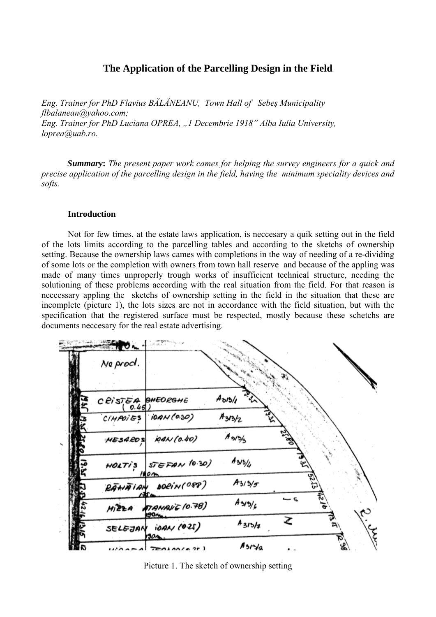# **The Application of the Parcelling Design in the Field**

*Eng. Trainer for PhD Flavius BĂLĂNEANU, Town Hall of Sebeş Municipality flbalanean@yahoo.com; Eng. Trainer for PhD Luciana OPREA, "1 Decembrie 1918" Alba Iulia University, loprea@uab.ro.* 

*Summary***:** *The present paper work cames for helping the survey engineers for a quick and precise application of the parcelling design in the field, having the minimum speciality devices and softs.* 

#### **Introduction**

Not for few times, at the estate laws application, is neccesary a quik setting out in the field of the lots limits according to the parcelling tables and according to the sketchs of ownership setting. Because the ownership laws cames with completions in the way of needing of a re-dividing of some lots or the completion with owners from town hall reserve and because of the appling was made of many times unproperly trough works of insufficient technical structure, needing the solutioning of these problems according with the real situation from the field. For that reason is neccessary appling the sketchs of ownership setting in the field in the situation that these are incomplete (picture 1), the lots sizes are not in accordance with the field situation, but with the specification that the registered surface must be respected, mostly because these schetchs are documents neccesary for the real estate advertising.

| Ne prod.            |                               |                             |                          |  |
|---------------------|-------------------------------|-----------------------------|--------------------------|--|
|                     |                               |                             |                          |  |
| $C$ 21575A BHEORGHE |                               | مريد<br>$A_{\delta/3}/\rho$ |                          |  |
| CIMPOIES            | 10AV(0.30)                    | $A_{3/3/2}$                 | $\mathbf{z}$             |  |
| <b>HESARDS</b>      | 10AN (0.40)                   | $A_{3/5/5}$                 |                          |  |
| <b>HOLTI'S</b>      | <b>STEFAN (0.30)</b><br>180 A | $A_3/3/4$                   |                          |  |
|                     | RAHAIAN DORIN(OPP)            | $A_3/3/5$                   |                          |  |
| $M$ $22A$           | 7 ANAI & 10.78)               | $A \times 2/6$              | $\overline{\phantom{a}}$ |  |
| SELEJAN             | 10AN (025)<br>901             | $A_{3/5/7}$                 |                          |  |
|                     | $T = 0.100(0.25)$             | $A_3r\gamma_9$              |                          |  |

Picture 1. The sketch of ownership setting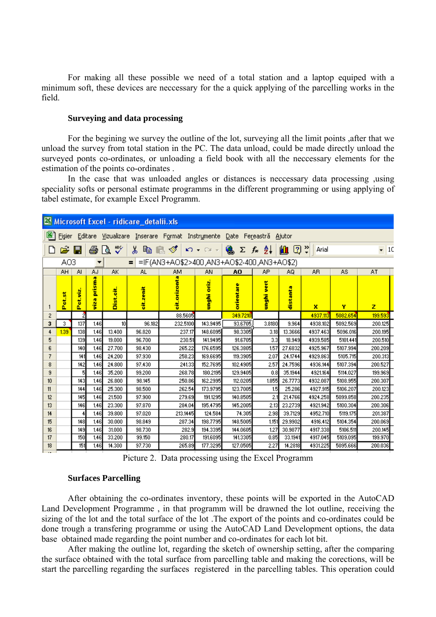For making all these possible we need of a total station and a laptop equiped with a minimum soft, these devices are neccessary for the a quick applying of the parcelling works in the field.

# **Surveying and data processing**

For the begining we survey the outline of the lot, surveying all the limit points ,after that we unload the survey from total station in the PC. The data unload, could be made directly unload the surveyed ponts co-ordinates, or unloading a field book with all the neccessary elements for the estimation of the points co-ordinates .

In the case that was unloaded angles or distances is neccessary data processing ,using speciality softs or personal estimate programms in the different programming or using applying of tabel estimate, for example Excel Programm.

| Microsoft Excel - ridicare_detalii.xls                                         |                                                       |                 |                  |                  |           |                |             |                                    |            |                      |                |          |         |
|--------------------------------------------------------------------------------|-------------------------------------------------------|-----------------|------------------|------------------|-----------|----------------|-------------|------------------------------------|------------|----------------------|----------------|----------|---------|
| 图 Fisier Editare Vizualizare Inserare Format Instrumente Date Fereastră Ajutor |                                                       |                 |                  |                  |           |                |             |                                    |            |                      |                |          |         |
|                                                                                |                                                       | $\mathbf{E}$ by |                  | 60 X             |           | る 亀 昆 ダ   の・○~ |             | $\frac{1}{2} \sum f_* \frac{1}{2}$ |            | $\mathbf{u} \otimes$ | Arial          |          | $-10$   |
|                                                                                | $=$ =IF(AN3+AO\$2>400,AN3+AO\$2-400,AN3+AO\$2)<br>AO3 |                 |                  |                  |           |                |             |                                    |            |                      |                |          |         |
|                                                                                | AH.                                                   | AL.             | AJ               | AK               | AL.       | AM             | AN          | A <sub>O</sub>                     | AP.        | ΑQ                   | A <sub>R</sub> | AS       | AT      |
|                                                                                | Petst                                                 | ot, viz<br>ñ.   | prisma<br>侮<br>ę | <b>Dist.cit.</b> | cit.zenit | orizont<br>성   | unghi oriz. | orientare                          | unghi vert | tanta<br>ā           | ×              | Y        | z       |
| $\overline{c}$                                                                 |                                                       | 2               |                  |                  |           | 88.5605        |             | 349,7210                           |            |                      | 4937.113       | 5082.654 | 199,593 |
| 3                                                                              | 3.                                                    | 137             | 1.46             | 10 <sub>10</sub> | 96.182    | 232.5100       | 143.9495    | 93.6705                            | 3.8180     | 9.964                | 4938.102       | 5092.569 | 200.125 |
| 4                                                                              | 1.39                                                  | 138             | 1.46             | 13.400           | 96.820    | 237.17         | 148,6095    | 98.3305                            | 3.18       | 13.3666              | 4937.463       | 5096.016 | 200.195 |
| 5                                                                              |                                                       | 139             | 1.46             | 19,000           | 96.700    | 230.51         | 141.9495    | 91.6705                            | 3.3        | 18.949               | 4939,585       | 5101.441 | 200.510 |
| 6                                                                              |                                                       | 140             | 1.46             | 27.700           | 98.430    | 265.22         | 176.6595    | 126.3805                           | 1.57       | 27.6832              | 4925.967       | 5107.994 | 200.209 |
| 7                                                                              |                                                       | 141             | 1.46             | 24.200           | 97.930    | 258.23         | 169.6695    | 119.3905                           | 2.07       | 24.1744              | 4929.863       | 5105.715 | 200.313 |
| 8                                                                              |                                                       | 142             | 1.46             | 24.800           | 97.430    | 241.33         | 152.7695    | 102.4905                           | 2.57       | 24.7596              | 4936.144       | 5107.394 | 200.527 |
| 9                                                                              |                                                       |                 | 1.46             | 35,200           | 99.200    | 268.78         | 180.2195    | 129.9405                           | 0.8        | 35.1944              | 4921.164       | 5114.027 | 199.969 |
| 10                                                                             |                                                       | 143             | 1.46             | 26,800           | 98.145    | 250.86         | 162.2995    | 112.0205                           | 1.855      | 26,7773              | 4932.087       | 5108.955 | 200.307 |
| 11                                                                             |                                                       | 144             | 1.46             | 25.300           | 98.500    | 262.54         | 173.9795    | 123,7005                           | 1.5        | 25.286               | 4927.915       | 5106.207 | 200.123 |
| 12                                                                             |                                                       | 145             | 1.46             | 21.500           | 97.900    | 279.69         | 191.1295    | 140,8505                           | 2.1        | 21.4766              | 4924.258       | 5099,858 | 200.235 |
| 13                                                                             |                                                       | 146             | 1.46             | 23.300           | 97.870    | 284.04         | 195.4795    | 145,2005                           | 2.13       | 23,2739              | 4921.942       | 5100.304 | 200.306 |
| 14                                                                             |                                                       |                 | 1.46             | 39.800           | 97.020    | 213.1445       | 124.584     | 74.305                             | 2.98       | 39.7129              | 4952.710       | 5119.175 | 201.387 |
| 15                                                                             |                                                       | 148             | 1.46             | 30.000           | 98.849    | 287.34         | 198.7795    | 148,5005                           | 1.151      | 29.9902              | 4916.412       | 5104.354 | 200.069 |
| 16                                                                             |                                                       | 149             | 1.46             | 31,000           | 98.730    | 282.9          | 194.3395    | 144.0605                           | 1.27       | 30,9877              | 4917.338       | 5106,511 | 200.145 |
| 17                                                                             |                                                       | 150             | 1.46             | 33.200           | 99.150    | 280.17         | 191.6095    | 141.3305                           | 0.85       | 33.1941              | 4917.045       | 5109.095 | 199.970 |
| 18                                                                             |                                                       | 151             | 1.46             | 14.300           | 97.730    | 265.89         | 177.3295    | 127.0505                           | 2.27       | 14.2818              | 4931.225       | 5095,666 | 200.036 |

Picture 2. Data processing using the Excel Programm

#### **Surfaces Parcelling**

After obtaining the co-ordinates inventory, these points will be exported in the AutoCAD Land Development Programme , in that programm will be drawned the lot outline, receiving the sizing of the lot and the total surface of the lot .The export of the points and co-ordinates could be done trough a transfering programme or using the AutoCAD Land Development options, the data base obtained made regarding the point number and co-ordinates for each lot bit.

After making the outline lot, regarding the sketch of ownership setting, after the comparing the surface obtained with the total surface from parcelling table and making the corections, will be start the parcelling regarding the surfaces registered in the parcelling tables. This operation could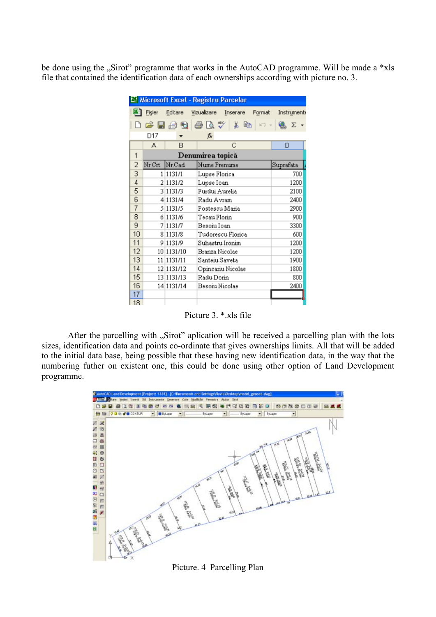be done using the "Sirot" programme that works in the AutoCAD programme. Will be made a \*xls file that contained the identification data of each ownerships according with picture no. 3.

|    |                  |            | Microsoft Excel - Registru Parcelar |             |  |  |  |  |  |
|----|------------------|------------|-------------------------------------|-------------|--|--|--|--|--|
|    | Fişier           | Editare    | Vizualizare<br>Inserare<br>Format   | Instrumente |  |  |  |  |  |
|    |                  | 序眉骨肢       | 6 Q V<br>‰<br>e,                    | Σ           |  |  |  |  |  |
|    | D17              |            | ß                                   |             |  |  |  |  |  |
|    | А                | B          | С                                   | D           |  |  |  |  |  |
| 1  | Denumirea topică |            |                                     |             |  |  |  |  |  |
| 2  | Nr Crt           | Nr.Cad     | Nume Prenume                        | Suprafata   |  |  |  |  |  |
| 3  |                  | 1 1131/1   | Lupse Florica                       | 700         |  |  |  |  |  |
| 4  |                  | 2 1131/2   | Lupse Ioan                          | 1200        |  |  |  |  |  |
| 5  |                  | 3 1131/3   | Furdui Aurelia                      | 2100        |  |  |  |  |  |
| 6  |                  | 4 1131/4   | Radu Avram                          | 2400        |  |  |  |  |  |
| 7  |                  | 5 1131/5   | Postescu Maria                      | 2900        |  |  |  |  |  |
| 8  |                  | 6 1131/6   | Tecau Florin                        | 900         |  |  |  |  |  |
| 9  | 7                | 1131/7     | Besoiu Ioan                         | 3300        |  |  |  |  |  |
| 10 | 8                | 1131/8     | Tudorescu Florica                   | 600         |  |  |  |  |  |
| 11 | 9                | 1131/9     | Suhastru Ironim                     | 1200        |  |  |  |  |  |
| 12 |                  | 10 1131/10 | Branza Nicolae                      | 1200        |  |  |  |  |  |
| 13 |                  | 11 1131/11 | Santeiu Saveta                      | 1900        |  |  |  |  |  |
| 14 |                  | 12 1131/12 | Opincariu Nicolae                   | 1800        |  |  |  |  |  |
| 15 |                  | 13 1131/13 | Radu Dorin                          | 800         |  |  |  |  |  |
| 16 |                  | 14 1131/14 | Besoiu Nicolae                      | 2400        |  |  |  |  |  |
| 17 |                  |            |                                     |             |  |  |  |  |  |
| 18 |                  |            |                                     |             |  |  |  |  |  |

Picture 3. \* xls file

After the parcelling with "Sirot" aplication will be received a parcelling plan with the lots sizes, identification data and points co-ordinate that gives ownerships limits. All that will be added to the initial data base, being possible that these having new identification data, in the way that the numbering futher on existent one, this could be done using other option of Land Development programme.



Picture. 4 Parcelling Plan